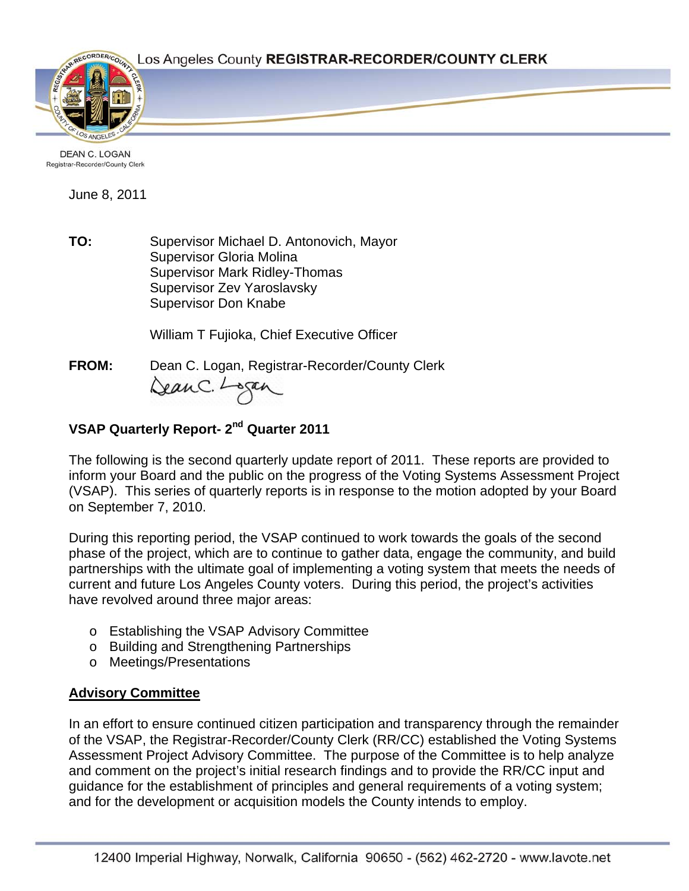

DEAN C. LOGAN Registrar-Recorder/County Clerk

June 8, 2011

**TO:** Supervisor Michael D. Antonovich, Mayor Supervisor Gloria Molina Supervisor Mark Ridley-Thomas Supervisor Zev Yaroslavsky Supervisor Don Knabe

William T Fujioka, Chief Executive Officer

**FROM:** Dean C. Logan, Registrar-Recorder/County Clerk Dean C. Logan

# **VSAP Quarterly Report- 2nd Quarter 2011**

The following is the second quarterly update report of 2011. These reports are provided to inform your Board and the public on the progress of the Voting Systems Assessment Project (VSAP). This series of quarterly reports is in response to the motion adopted by your Board on September 7, 2010.

During this reporting period, the VSAP continued to work towards the goals of the second phase of the project, which are to continue to gather data, engage the community, and build partnerships with the ultimate goal of implementing a voting system that meets the needs of current and future Los Angeles County voters. During this period, the project's activities have revolved around three major areas:

- o Establishing the VSAP Advisory Committee
- o Building and Strengthening Partnerships
- o Meetings/Presentations

## **Advisory Committee**

In an effort to ensure continued citizen participation and transparency through the remainder of the VSAP, the Registrar-Recorder/County Clerk (RR/CC) established the Voting Systems Assessment Project Advisory Committee. The purpose of the Committee is to help analyze and comment on the project's initial research findings and to provide the RR/CC input and guidance for the establishment of principles and general requirements of a voting system; and for the development or acquisition models the County intends to employ.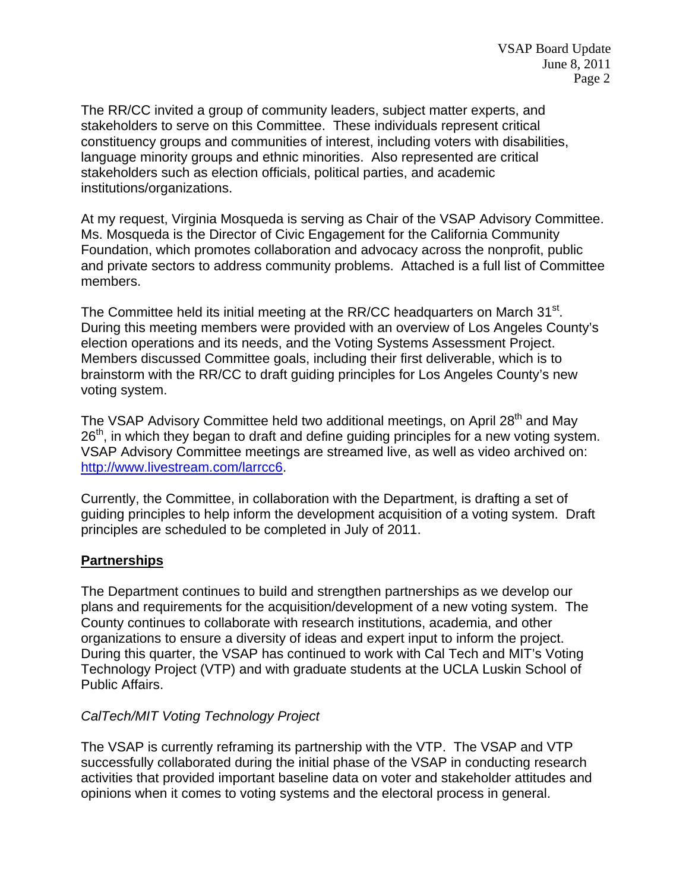The RR/CC invited a group of community leaders, subject matter experts, and stakeholders to serve on this Committee. These individuals represent critical constituency groups and communities of interest, including voters with disabilities, language minority groups and ethnic minorities. Also represented are critical stakeholders such as election officials, political parties, and academic institutions/organizations.

At my request, Virginia Mosqueda is serving as Chair of the VSAP Advisory Committee. Ms. Mosqueda is the Director of Civic Engagement for the California Community Foundation, which promotes collaboration and advocacy across the nonprofit, public and private sectors to address community problems. Attached is a full list of Committee members.

The Committee held its initial meeting at the RR/CC headquarters on March 31<sup>st</sup>. During this meeting members were provided with an overview of Los Angeles County's election operations and its needs, and the Voting Systems Assessment Project. Members discussed Committee goals, including their first deliverable, which is to brainstorm with the RR/CC to draft guiding principles for Los Angeles County's new voting system.

The VSAP Advisory Committee held two additional meetings, on April 28<sup>th</sup> and May  $26<sup>th</sup>$ , in which they began to draft and define guiding principles for a new voting system. VSAP Advisory Committee meetings are streamed live, as well as video archived on: <http://www.livestream.com/larrcc6>.

Currently, the Committee, in collaboration with the Department, is drafting a set of guiding principles to help inform the development acquisition of a voting system. Draft principles are scheduled to be completed in July of 2011.

## **Partnerships**

The Department continues to build and strengthen partnerships as we develop our plans and requirements for the acquisition/development of a new voting system. The County continues to collaborate with research institutions, academia, and other organizations to ensure a diversity of ideas and expert input to inform the project. During this quarter, the VSAP has continued to work with Cal Tech and MIT's Voting Technology Project (VTP) and with graduate students at the UCLA Luskin School of Public Affairs.

#### *CalTech/MIT Voting Technology Project*

The VSAP is currently reframing its partnership with the VTP. The VSAP and VTP successfully collaborated during the initial phase of the VSAP in conducting research activities that provided important baseline data on voter and stakeholder attitudes and opinions when it comes to voting systems and the electoral process in general.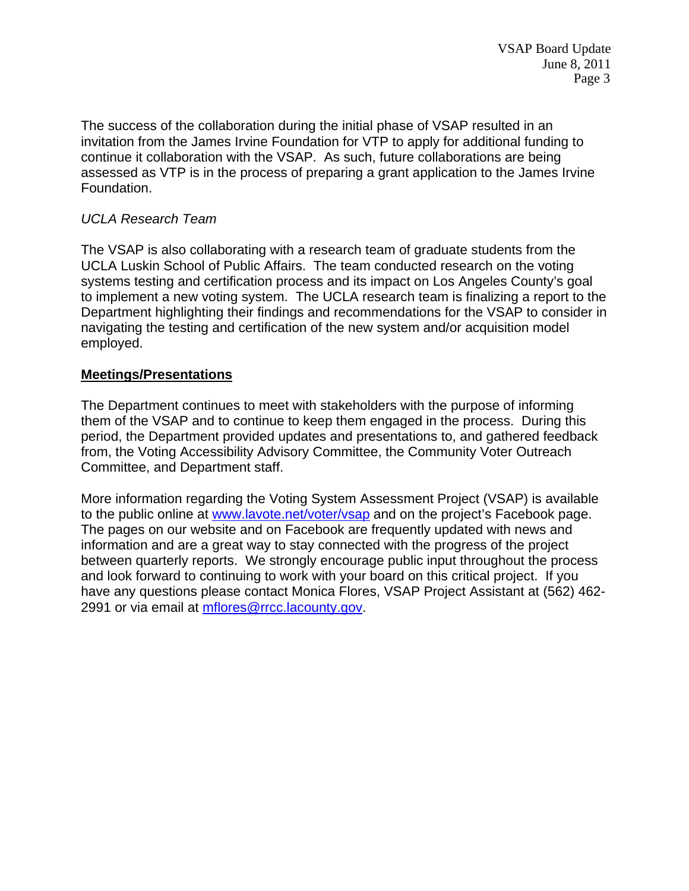The success of the collaboration during the initial phase of VSAP resulted in an invitation from the James Irvine Foundation for VTP to apply for additional funding to continue it collaboration with the VSAP. As such, future collaborations are being assessed as VTP is in the process of preparing a grant application to the James Irvine Foundation.

## *UCLA Research Team*

The VSAP is also collaborating with a research team of graduate students from the UCLA Luskin School of Public Affairs. The team conducted research on the voting systems testing and certification process and its impact on Los Angeles County's goal to implement a new voting system. The UCLA research team is finalizing a report to the Department highlighting their findings and recommendations for the VSAP to consider in navigating the testing and certification of the new system and/or acquisition model employed.

#### **Meetings/Presentations**

The Department continues to meet with stakeholders with the purpose of informing them of the VSAP and to continue to keep them engaged in the process. During this period, the Department provided updates and presentations to, and gathered feedback from, the Voting Accessibility Advisory Committee, the Community Voter Outreach Committee, and Department staff.

More information regarding the Voting System Assessment Project (VSAP) is available to the public online at [www.lavote.net/voter/vsap](http://www.lavote.net/vsap) and on the project's Facebook page. The pages on our website and on Facebook are frequently updated with news and information and are a great way to stay connected with the progress of the project between quarterly reports. We strongly encourage public input throughout the process and look forward to continuing to work with your board on this critical project. If you have any questions please contact Monica Flores, VSAP Project Assistant at (562) 462- 2991 or via email at [mflores@rrcc.lacounty.gov](mailto:mflores@rrcc.lacounty.gov).